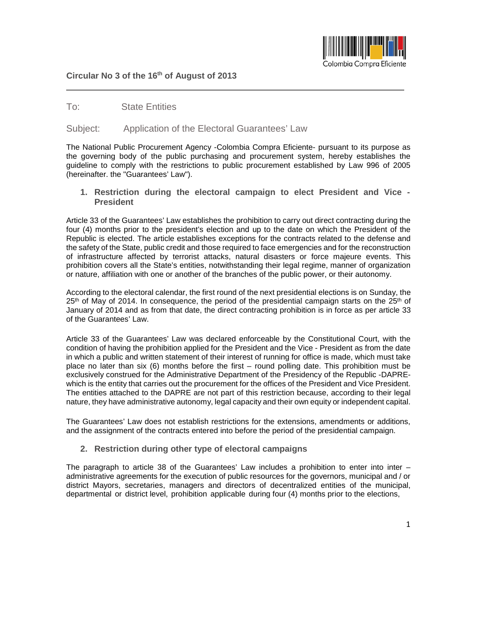

## **Circular No 3 of the 16th of August of 2013**

## To: State Entities

## Subject: Application of the Electoral Guarantees' Law

The National Public Procurement Agency -Colombia Compra Eficiente- pursuant to its purpose as the governing body of the public purchasing and procurement system, hereby establishes the guideline to comply with the restrictions to public procurement established by Law 996 of 2005 (hereinafter. the "Guarantees' Law").

**1. Restriction during the electoral campaign to elect President and Vice - President**

Article 33 of the Guarantees' Law establishes the prohibition to carry out direct contracting during the four (4) months prior to the president's election and up to the date on which the President of the Republic is elected. The article establishes exceptions for the contracts related to the defense and the safety of the State, public credit and those required to face emergencies and for the reconstruction of infrastructure affected by terrorist attacks, natural disasters or force majeure events. This prohibition covers all the State's entities, notwithstanding their legal regime, manner of organization or nature, affiliation with one or another of the branches of the public power, or their autonomy.

According to the electoral calendar, the first round of the next presidential elections is on Sunday, the  $25<sup>th</sup>$  of May of 2014. In consequence, the period of the presidential campaign starts on the  $25<sup>th</sup>$  of January of 2014 and as from that date, the direct contracting prohibition is in force as per article 33 of the Guarantees' Law.

Article 33 of the Guarantees' Law was declared enforceable by the Constitutional Court, with the condition of having the prohibition applied for the President and the Vice - President as from the date in which a public and written statement of their interest of running for office is made, which must take place no later than six (6) months before the first – round polling date. This prohibition must be exclusively construed for the Administrative Department of the Presidency of the Republic -DAPREwhich is the entity that carries out the procurement for the offices of the President and Vice President. The entities attached to the DAPRE are not part of this restriction because, according to their legal nature, they have administrative autonomy, legal capacity and their own equity or independent capital.

The Guarantees' Law does not establish restrictions for the extensions, amendments or additions, and the assignment of the contracts entered into before the period of the presidential campaign.

**2. Restriction during other type of electoral campaigns** 

The paragraph to article 38 of the Guarantees' Law includes a prohibition to enter into inter  $$ administrative agreements for the execution of public resources for the governors, municipal and / or district Mayors, secretaries, managers and directors of decentralized entities of the municipal, departmental or district level, prohibition applicable during four (4) months prior to the elections,